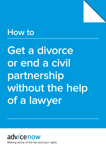

# **How to**

**Get a divorce or end a civil partnership without the help of a lawyer**



Making sense of the law and your rights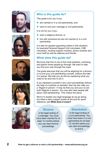









# **Who is this guide for?**

This guide is for you if you:

- $\bullet$  are married or in a civil partnership, and
- want to end your marriage or civil partnership.

It is not for you if you:

- $\bullet$  want a religious divorce, or
- live with someone but are not married or in a civil partnership

It is also for people supporting others in this situation, for example Personal Support Unit volunteers, CAB volunteers, housing support workers, advice workers and court staff as well as relatives and friends.

# **What does this guide do?**

We know that this is one of the most stressful, confusing and painful times people go through. We want to help you find your way through the maze.

The guide assumes that you will be applying for a divorce or to end your civil partnership yourself, without the help of a lawyer. We help you do this by explaining what you need to do and how to do it.

If you represent yourself in any court proceedings without the help of a solicitor or barrister, then the law calls you a 'litigant in person'. It may be that you and your ex are both litigants in person. You may also hear people talk about 'self-representing'. This means the same.

We try to explain any legal language as we go along, but there is also a jargon buster at the end for quick reference, see **What does it mean?**

### **Divorce**

is the legal ending of a marriage. You must have been married for at least 12 months before you can start divorce proceedings.

## **Dissolution**

is the legal ending of a civil partnership. You must have been in a civil partnership for at least 12 months before you can start proceedings to end it.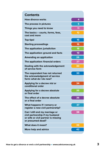| <b>Contents</b>                                                                                                               |    |
|-------------------------------------------------------------------------------------------------------------------------------|----|
| <b>How divorce works</b>                                                                                                      | 4  |
| The process in pictures                                                                                                       | 5  |
| Things you need to know                                                                                                       | 11 |
| The basics - courts, forms, fees,<br>cost and more                                                                            | 12 |
| Top tips!                                                                                                                     | 15 |
| <b>Starting proceedings</b>                                                                                                   | 16 |
| The application: jurisdiction                                                                                                 | 18 |
| The application: ground and facts                                                                                             | 19 |
| <b>Amending an application</b>                                                                                                | 26 |
| The application: financial orders                                                                                             | 27 |
| <b>Dealing with the acknowledgement</b><br>of service form                                                                    | 30 |
| The respondent has not returned<br>the acknowledgment of service<br>form: what do I do now?                                   | 33 |
| Applying for a decree nisi or<br>conditional order                                                                            | 34 |
| <b>Applying for a decree absolute</b><br>or final order                                                                       | 35 |
| The effect of a decree absolute<br>or a final order                                                                           | 36 |
| What happens if I remarry or<br>register a new civil partnership?                                                             | 37 |
| Can I still end my marriage or<br>civil partnership if my husband<br>or wife or civil partner is missing<br>or presumed dead? | 38 |
| What does it mean?                                                                                                            | 39 |
| More help and advice                                                                                                          | 42 |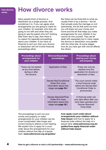<span id="page-3-0"></span>**How divorce works**

**you need** 

# **How divorce works**

Many people think of divorce or dissolution as a single process. And sometimes it is. If you can agree what arrangements you are going to make for your children, for example, who they are going to live with and when they are going to see the parent who isn't looking after them day to day, then there is no reason for separate proceedings about your children. If you have no finances to sort out, then your divorce or dissolution will not involve financial proceedings either.

But there can be three bits to what we usually think of as a divorce – the bit that actually ends the marriage or civil partnership, the bit that sorts out how you will share out your money and home and the bit that helps you make arrangements for your children if you cannot do this yourself. They are all dealt with separately but in many cases the divorce or dissolution runs parallel with the other bits. At some stages, how far you have got with one bit affects the others.

| <b>Proceedings about</b><br>arrangements for<br>your children                  | <b>Divorce/dissolution</b><br>proceedings                                                         | <b>Proceedings about</b><br>sharing your money<br>and property                                                            |
|--------------------------------------------------------------------------------|---------------------------------------------------------------------------------------------------|---------------------------------------------------------------------------------------------------------------------------|
| These can be started<br>at any time before,<br>during or after<br>the divorce. | Application is filed.                                                                             | These can only be<br>started once the<br>application for divorce or<br>dissolution is filed.                              |
|                                                                                | Decree Nisi/Conditional<br>Order (For more<br>information about this<br>stage see page 34.)       | The court cannot make<br>a final financial order<br>before the Decree Nisi/<br><b>Conditional Order is</b><br>pronounced. |
|                                                                                | Decree Absolute/Final<br>Order (For more<br>information about this<br>stage see <b>page 35</b> .) | A financial order can<br>only take effect after you<br>have been granted your<br>Decree Absolute/<br><b>Final Order.</b>  |

The proceedings to sort out your money and property or make arrangements for your children can be more complicated, take longer and involve having to attend a court hearing. We explain how to apply for a court order about the arrangements for your children without the help of a lawyer here: **[www.advicenow.org.uk/guides/](http://www.advicenow.org.uk/guides/how-apply-court-order-about-arrangements-your-children-without-help-lawyer)**

**[how-apply-court-order-about](http://www.advicenow.org.uk/guides/how-apply-court-order-about-arrangements-your-children-without-help-lawyer)[arrangements-your-children-without](http://www.advicenow.org.uk/guides/how-apply-court-order-about-arrangements-your-children-without-help-lawyer)[help-lawyer](http://www.advicenow.org.uk/guides/how-apply-court-order-about-arrangements-your-children-without-help-lawyer)** and how to apply for a financial order without the help of a lawyer here: **[www.advicenow.org.uk/](http://www.advicenow.org.uk/guides/how-apply-financial-order-without-help-lawyer) [guides/how-apply-financial-order](http://www.advicenow.org.uk/guides/how-apply-financial-order-without-help-lawyer)[without-help-lawyer](http://www.advicenow.org.uk/guides/how-apply-financial-order-without-help-lawyer)**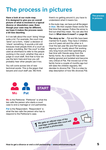# <span id="page-4-0"></span>**The process in pictures**

**Have a look at our route map. It is designed to give you an overall picture of what is involved in a typical divorce or dissolution case. Even though your case may be different, we hope it makes the process seem a bit less daunting.**

In it we talk about the court 'doing' things quite a lot. For example, the court may 'send' out a form, 'make' a decision or 'check' something. It sounds a bit odd because most people think of a court as a place, a building. But 'the court' is often used as shorthand to refer to the people working in the court, whether they are a judge or court staff. And that is how we use the term here and how you will probably hear other people use it too.

You will come across lots of new technical words. This is the jargon that lawyers and court staff use. We think

**in pictures** there's no getting around it; you have to understand what it means too.

In the route map, we have put all the jargon in **blue**. We then explain these words the first time they appear. Follow the arrow to find out what they mean. You can also find them in **[What does it mean?](#page-38-0)** on **page 39**.

**The story so far**… Pat and Mo have been married for 8 years. They have 2 children; one is 6 years old and the other is 4. Over the last year Mo and Pat have been arguing a lot, mostly about Pat working very long hours and then spending any free time with friends away from the family home. As a result Mo has been feeling ignored and isolated and become very critical of Pat. Pat moved out of the family home a couple of months ago but still sees the children regularly. Mo decides to divorce Pat. This is a step by step description of how Mo divorces Pat.

**The process The process in pictures**

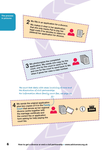**The process The process in pictures in pictures**

**– courts,** 

**works**



**final order What**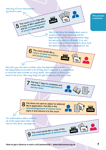

**How to get a divorce or end a civil partnership • www.advicenow.org.uk**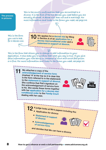**The process The process in pictures in pictures**

**– courts, forms, fees,** 

**acknowledge-**

**works**

**This is the court's confirmation that you are entitled to a divorce. It is the first of the two decrees you need before you are actually divorced. A decree nisi does not end a marriage. For more information and links to the forms you need, [see page 34](#page-33-0).**

**cost and Top tips! This is the form Starting for a decree nisi. you use to ask** 

10 Mo applies for a **[decree nisi](#page-38-3)** by filling in Section A of an **[application for a](#page-38-2)  [decree nisi/conditional order](#page-38-2)** and a **[statement in support of divorce](#page-40-1)**.

| Sec A |
|-------|
|       |
|       |

**jurisdiction This is the form that allows you to change or add information to your Amending or a fine. For more information and links to the forms you need[, see page 34.](#page-33-0) application. It also asks you to confirm that what you say is true. If you give false information you risk being in contempt of court and could face prison** 

> Mo attaches a copy of the **[acknowledgement of service form](#page-38-1)** (marked 'A' at the top so it is clear this is the form referred to in the statement) to the **[statement in support of divorce](#page-40-1)**. She confirms that Pat's signature on the acknowledgement of service form is his. She sends these forms together with her **[application for a decree nisi/](#page-38-2) [conditional order](#page-38-2)** to the **Family Court** dealing with her case.



12 A judge looks at Mo's papers including the: • Application for divorce **• [Statement in support](#page-40-1)  [of divorce](#page-40-1) • [Acknowledgement](#page-38-1)  [of service form](#page-38-1)** and decides that Mo can have a divorce. **A**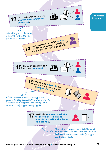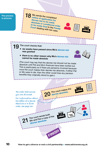**The process The process in pictures in pictures**

**– courts,** 

**proceedings**

**application: jurisdiction**

**application:** 

**acknowledge-**

**works**

 $18$  Mo sends the completed **[notice of application for](#page-39-0)  [decree nisi to be made](#page-39-0)  [absolute or conditional order](#page-39-0)  [to be made final](#page-39-0)** to the **Family Court** dealing with her case.

19 The court checks that:

- **• six weeks have passed since Mo's [decree nisi](#page-38-3)  was granted**
- **• there is no other reason why Mo's [decree nisi](#page-38-3) cannot be made absolute**

(The court may say that the decree nisi should not be made absolute until Pat and Mo's finances have been sorted out. This is particularly so if there are pensions involved because once the court makes their decree nisi absolute, if either Pat or Mo were to die, then the other could lose any pension benefits they originally stood to gain.)

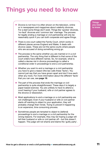# <span id="page-10-0"></span>**Things you need to know**

Divorce is not how it is often shown on the television, online or in newspapers and magazines about celebrity divorces. For a start some things don't exist. Things like 'quickie' divorces, 'no-fault' divorces and 'common law' marriage. The process for legally ending a marriage or civil partnership will only be reasonably quick if you can both cooperate and agree things.

- There is one court called the Family Court, which works in different places across England and Wales. It deals with divorce cases. These are not the same courts where people who are accused of doing something wrong go.
- $\bullet$  The process is the same whether you are married or in a civil partnership. The only thing that is different is that some of the court orders have different names. So, for example, what is called a decree nisi in divorce proceedings is called a conditional order in proceedings to end a civil partnership.
- Whether you want to end a marriage or a civil partnership you have to give a reason (the law calls these 'facts'). You cannot just say that you have grown apart and don't love each other any more. For more information about the different 'facts' that you can use, see **[page 19](#page-18-0)**.
- The part of the process that ends the marriage or civil partnership is quite straightforward. These days it is largely a paper based exercise. You are unlikely to have to attend a court hearing if your husband, wife or civil partner agrees to the divorce or dissolution.
- Most applications to end a marriage or a civil partnership are not challenged. Even if your husband or wife or civil partner starts off wanting to object to your application, they will probably change their minds. Trying to prevent it happening is an expensive, time consuming process.
- Sometimes people are tempted to object to (defend) proceedings to end a marriage or a civil partnership for the wrong reasons. For example, they may be hoping a judge will tell their husband or wife or civil partner off – but this doesn't happen. The judge will not shame and blame the 'quilty party'.

**Things you need to know**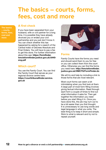# <span id="page-11-0"></span>**The basics – courts, forms, fees, cost and more**

**The basics – courts, – courts, forms, fees, forms, fees, cost and Top tips! cost and more more**

**you need** 

### **A first check**

If you have been separated from your husband, wife or civil partner for a long time, it is possible they have already divorced you or ended your civil partnership and you just don't know it. You can check whether this has happened by asking for a search of the Central Index of Decrees Absolute and Final Orders. You will have to pay a fee to get this done. For further information about this see: **[https://formfinder.](https://formfinder.hmctsformfinder.justice.gov.uk/d440-eng.pdf) [hmctsformfinder.justice.gov.uk/d440](https://formfinder.hmctsformfinder.justice.gov.uk/d440-eng.pdf) [eng.pdf](https://formfinder.hmctsformfinder.justice.gov.uk/d440-eng.pdf)**

# **Which court?**

You use the Family Court. You can find the Family Court that serves as your regional divorce centre here: **[https://courttribunalfinder.service.](https://courttribunalfinder.service.gov.uk) [gov.uk](https://courttribunalfinder.service.gov.uk)** 



### **Forms**

Family Courts have the forms you need and should send them to you for free or you can collect them from the court office. Otherwise you can find the forms you need here: **[http://hmctsformfinder.](http://hmctsformfinder.justice.gov.uk/HMCTS/FormFinder.do) [justice.gov.uk/HMCTS/FormFinder.do](http://hmctsformfinder.justice.gov.uk/HMCTS/FormFinder.do)**

We will try and help by including a link to those forms that are most relevant.

Most court forms can seem a bit intimidating when you first look at them. A large part of most form filling involves giving factual information. Read through each form a couple of times to find out what information it asks for. Then get together the information you need before you start filling it in. Once you have done this, the job may turn out to be a bit easier than you first thought. It is unnecessary to use long words and legal language in what you write. The best thing is to keep it short and simple. Stick to what is relevant and try not to repeat yourself.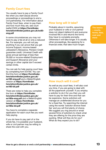# <span id="page-12-0"></span>**Family Court fees**

You usually have to pay a Family Court fee when you start (issue) divorce proceedings or proceedings to end a civil partnership. For information about Family Court fees, when to pay them and how much they are, see court leaflet EX50 at **[https://formfinder.](https://formfinder.hmctsformfinder.justice.gov.uk/ex50-eng.pdf) [hmctsformfinder.justice.gov.uk/ex50](https://formfinder.hmctsformfinder.justice.gov.uk/ex50-eng.pdf) [eng.pdf](https://formfinder.hmctsformfinder.justice.gov.uk/ex50-eng.pdf)**

In some circumstances you may not have to pay a fee at all or only a reduced fee. For example, you will not pay anything if you can prove that you get Income Support, income-based Jobseeker's Allowance, Pension Credit guarantee credit, Universal Credit with gross annual earnings of less than £6,000 or income-related Employment and Support Allowance and your savings or other capital don't exceed certain limits.

You can ask for help paying court fees by completing form EX160. You can find this form at **[https://formfinder.](https://formfinder.hmctsformfinder.justice.gov.uk/ex160-eng.pdf) [hmctsformfinder.justice.gov.uk/](https://formfinder.hmctsformfinder.justice.gov.uk/ex160-eng.pdf) [ex160-eng.pdf](https://formfinder.hmctsformfinder.justice.gov.uk/ex160-eng.pdf)** and a Welsh/English version at **[https://formfinder.](https://formfinder.hmctsformfinder.justice.gov.uk/ex160-bil.pdf) [hmctsformfinder.justice.gov.uk/](https://formfinder.hmctsformfinder.justice.gov.uk/ex160-bil.pdf) [ex160-bil.pdf](https://formfinder.hmctsformfinder.justice.gov.uk/ex160-bil.pdf)**

There are notes to help you complete the form at **[https://formfinder.](https://formfinder.hmctsformfinder.justice.gov.uk/ex160a-eng.pdf) [hmctsformfinder.justice.gov.uk/](https://formfinder.hmctsformfinder.justice.gov.uk/ex160a-eng.pdf) [ex160a-eng.pdf](https://formfinder.hmctsformfinder.justice.gov.uk/ex160a-eng.pdf)** and a Welsh/English version at **[https://formfinder.](https://formfinder.hmctsformfinder.justice.gov.uk/ex160a-bil.pdf) [hmctsformfinder.justice.gov.uk/](https://formfinder.hmctsformfinder.justice.gov.uk/ex160a-bil.pdf) [ex160a-bil.pdf](https://formfinder.hmctsformfinder.justice.gov.uk/ex160a-bil.pdf)**

You have to complete a separate application for each court fee you want help paying.

If you do have to pay part of or the whole fee, it is possible your husband. wife or civil partner may be willing to share the cost with you.

# **How long will it take?**

Probably about 4 months, assuming your husband or wife or civil partner does not object (defend it) and everyone involved fills in and returns the forms they have to complete promptly. Otherwise it will take longer. It is usually other proceedings, like applying for a financial order, that take much longer.

**The basics The basics – courts, – courts, forms, fees, forms, fees, cost and cost and more more**



## **How much will it cost?**

As well as any court fees, it will also cost you time, if you are going to deal with all the paperwork yourself. If you employ a solicitor to do it for you then you will have to pay for their time and that can be expensive. Some solicitors will manage an undefended divorce for you for a fixed fee. Try searching the internet using the words 'solicitor divorce fixed fee' and you will find plenty of choice. We suggest you ring around or email several firms of solicitors to check what they are offering for the price they are quoting. What will they do for you? What do they expect you to do?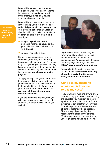Legal aid is a government scheme to help people who live on a low income, have few savings and meet specific other criteria, pay for legal advice, representation and other help.

**The basics – courts, – courts, forms, fees, forms, fees, cost and Top tips! cost and more more**

**you need** 

Legal aid is only available to pay for a lawyer to help you get a divorce or to end a civil partnership (or to respond to your ex's application for a divorce or dissolution) in very limited circumstances. You may be able to get legal aid but only if you:

- $\bullet$  can prove you have suffered domestic violence or abuse or that your child is at risk of abuse from your ex, and
- $\bullet$  you are financially eligible.

Domestic violence and abuse is any controlling, coercive, or threatening behaviour, violence or abuse. The abuse may be psychological, physical, sexual, financial or emotional. If you are in this situation there are organisations that can help you, see **[More help and advice](#page-41-0)** on **[page 42](#page-41-0)**.

To apply for legal aid, you must be able to give your solicitor some evidence that you have suffered domestic violence or that your child is at risk of abuse from your ex. For further information, see: **[www.gov.uk/legal-aid/domestic](https://www.gov.uk/legal-aid/domestic-abuse-or-violence)[abuse-or-violence](https://www.gov.uk/legal-aid/domestic-abuse-or-violence)**

If you are not in this position, then you will have to pay for help or do the job yourself. Our guide is here to help you do that.



Legal aid is still available to pay for family mediation. Eligibility for legal aid depends on your financial circumstances. You can check if you are financially eligible for legal aid here: **<https://www.gov.uk/check-legal-aid>**

You can find information about family mediation here: **[www.advicenow.org.](http://www.advicenow.org.uk/guides/survival-guide-using-family-mediation-after-break) [uk/guides/survival-guide-using](http://www.advicenow.org.uk/guides/survival-guide-using-family-mediation-after-break)[family-mediation-after-break](http://www.advicenow.org.uk/guides/survival-guide-using-family-mediation-after-break)**

# **Can I ask my husband or wife or civil partner to pay my costs?**

If you want your husband or wife or civil partner to pay your legal costs including the court fee you must say so in your application. It is quite common for the petitioner to say that they will only ask for their legal costs if the respondent objects to (defends) the application. This is a way of persuading the respondent to agree to the divorce. Most respondents will not want to pay your legal costs as well as their own.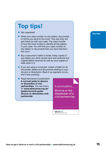# <span id="page-14-0"></span>**Top tips!**

**•** Get organised!

- Write your case number on any letters, documents or forms you send to the court. This way they will get linked up with your case. The case number is how the court is able to identify all the papers in your case. You will find your case number on any letters or documents that you have had from the court.
- Buy a document wallet or folder. Keep copies of any letters you send, emails sent and received and original letters received as well as court papers in date order in it.
- $\bullet$  If you are using a computer, create a folder for all the emails, letters and documents relating to your divorce or dissolution. Back it up regularly so you don't lose anything.
- Read Advicenow's publication **A survival guide to divorce or dissolution of civil partnerships**. You can find it at: **[www.advicenow.org.uk/](http://www.advicenow.org.uk/guides/survival-guide-divorce-or-dissolution-civil-partnership) [guides/survival-guide](http://www.advicenow.org.uk/guides/survival-guide-divorce-or-dissolution-civil-partnership)[divorce-or-dissolution-civil](http://www.advicenow.org.uk/guides/survival-guide-divorce-or-dissolution-civil-partnership)[partnership](http://www.advicenow.org.uk/guides/survival-guide-divorce-or-dissolution-civil-partnership)**

A survival guide to

Divorce or the dissolution of a civil partnership

advicenow of the law and your rights **Top tips! Top tips!**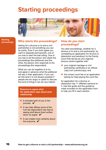# <span id="page-15-0"></span>**Starting proceedings**



#### **Starting STARTING proceedings**

**cost and** 

# **proceedings** Who starts the proceedings? How do you start

Asking for a divorce or to end a civil partnership is not something you can do jointly. Even if you both agree you want to separate permanently, one of you has to start the ball rolling. One of you has to be the person who starts the proceedings (the petitioner) and the other, the person who responds to the proceedings (the respondent).

What you can do together is to try and agree in advance what the petitioner will say in their application. If you can do this (and it is not always possible if people are too angry or upset to discuss this kind of thing) it can be very helpful.

**Reasons to agree what the application says about your relationship**

- $\bullet$  It includes both of you in the process.  $\blacktriangleright$
- $\bullet$  It can help diffuse some of the hurt the respondent may feel at seeing stuff about them written down on paper.  $\blacktriangledown$
- It can create more certainty about the outcome.  $\blacktriangleright$

# **proceedings?**

You start proceedings, whether for a divorce or to end a civil partnership, by completing an application for divorce or dissolution and sending it to the Family Court that serves as your regional divorce centre together with:

- vour original marriage or civil partnership certificate or an official copy (not a photocopy); and
- $\bullet$  the correct court fee or an application asking for help paying the court fee.

An application for a divorce or dissolution has 11 different sections to it. Use this guide and the guidance notes included on the application form to help you fill in each section.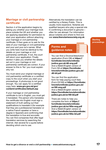# **Marriage or civil partnership certificate**

Section 4 of the application begins by asking you whether your marriage took place outside the UK and whether you are applying separately for permission to start your application without attaching your marriage or civil partnership certificate. It then goes on to ask for the date of your marriage or civil partnership and your and your ex's names. What you write here must be identical to the details on your marriage or civil partnership certificate. If not, the court will return your application. Finally section 4 asks you whether the details set out in your marriage or civil partnership certificate are correct. If your answer to this is 'No' you must explain why not.

You must send your original marriage or civil partnership certificate or a certified copy to the court when you start your proceedings. A photocopy is not good enough. You can apply for a certified copy here: **[www.gro.gov.uk/gro/](http://www.gro.gov.uk/gro/content/certificates/default.asp) [content/certificates/default.asp](http://www.gro.gov.uk/gro/content/certificates/default.asp)**

If your marriage or civil partnership certificate is not in English, you must get it translated. The person who translates the certificate into English must sign a statement of truth setting out their qualifications to translate it (for example that they are a professional translator or a native French speaker or have a degree in Spanish) and confirming that the translation is true and accurate. You can find companies that offer legal translation services by searching the internet. Ask several for a quote before deciding which one to use.

Alternatively the translation can be certified by a Notary Public. This is usually more expensive. Notaries are qualified lawyers who play a special role in confirming a document is genuine – often for use abroad. For information about notaries and where to find one see **[www.thenotariessociety.org.uk](http://www.thenotariessociety.org.uk/)**

# **Forms and guidance notes**

You can find a Divorce/dissolution application (Form D8) at **[https://](https://formfinder.hmctsformfinder.justice.gov.uk/d8-eng.pdf) [formfinder.hmctsformfinder.](https://formfinder.hmctsformfinder.justice.gov.uk/d8-eng.pdf) [justice.gov.uk/d8-eng.pdf](https://formfinder.hmctsformfinder.justice.gov.uk/d8-eng.pdf)** And a Welsh/English version of Form D8 at **[https://formfinder.](https://formfinder.hmctsformfinder.justice.gov.uk/d8-bil.pdf) [hmctsformfinder.justice.gov.uk/](https://formfinder.hmctsformfinder.justice.gov.uk/d8-bil.pdf) [d8-bil.pdf](https://formfinder.hmctsformfinder.justice.gov.uk/d8-bil.pdf)**

You can find the application form for help paying court fees (Form EX160) at **[https://formfinder.](https://formfinder.hmctsformfinder.justice.gov.uk/ex160-eng.pdf) [hmctsformfinder.justice.gov.uk/](https://formfinder.hmctsformfinder.justice.gov.uk/ex160-eng.pdf) [ex160-eng.pdf](https://formfinder.hmctsformfinder.justice.gov.uk/ex160-eng.pdf)** And a Welsh/English version at **[https://formfinder.hmctsformfinder.](https://formfinder.hmctsformfinder.justice.gov.uk/ex160-bil.pdf) [justice.gov.uk/ex160-bil.pdf](https://formfinder.hmctsformfinder.justice.gov.uk/ex160-bil.pdf)**

There are notes to help you complete the form at **[https://](https://formfinder.hmctsformfinder.justice.gov.uk/ex160a-eng.pdf) [formfinder.hmctsformfinder.](https://formfinder.hmctsformfinder.justice.gov.uk/ex160a-eng.pdf) [justice.gov.uk/ex160a-eng.pdf](https://formfinder.hmctsformfinder.justice.gov.uk/ex160a-eng.pdf)** And a Welsh/English version at **[https://formfinder.hmctsformfinder.](https://formfinder.hmctsformfinder.justice.gov.uk/ex160a-bil.pdf) [justice.gov.uk/ex160a-bil.pdf](https://formfinder.hmctsformfinder.justice.gov.uk/ex160a-bil.pdf)**

#### **Starting proceedings proceedings Starting**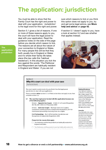# <span id="page-17-0"></span>**The application: jurisdiction**

You must be able to show that the Family Court has the right and power to deal with your application. 'Jurisdiction' is the legal word for this right and power.

Section 5.1 gives a list of reasons. If one or more of these reasons apply to you, the court will have the legal power to deal with your application. Read the guidance notes on the side of the page before you decide which reason to tick. The reasons are all about the nature of your connection to England or Wales. For many people this will be that they both usually live in England or Wales and it's where their family life takes place (the law calls this 'habitual residence'). In this situation you tick the box against the words: 'The Petitioner and Respondent are habitually resident in England and Wales'. If you are not

sure which reasons to tick or you think this option does not apply to you, try and get some legal advice, see **[More](#page-41-0)  [help and advice](#page-41-0)** on **page 42**.

If section 5.1 doesn't apply to you, have a look at section 5.2 and see whether that applies instead.



#### Section 5

#### Why this court can deal with your case

(Jurisdiction)

The court needs to understand why you think it has the legal power (jurisdiction) to deal with your application.

Please complete either section 5.1 or if that section does not apply to you then complete section 5.2.

#### 5.1 The court has legal power to deal with this application because one of the following applies:

Divorce - Opposite Sex Couple - Article 3(1) of Council Regulation (EC) No 2201/2003 of 27 November 2003

Divorce - Same Sex Couple - Marriage (Same Sex Couples) (Jurisdiction and Recognition of Judgments) Regulations 2014 for matrimonial proceedings involving same sex couples

Civil Partnerships - the Civil Partnership (Jurisdiction and Recognition of Judgments) Regulations 2005

#### Please tick the reasons that apply:

- $\Box$  The Petitioner and the Respondent are habitually resident in England and Wales.
- $\Box$  The Petitioner and Respondent were last habitually resident in England and Wales and the [Petitioner\*] [or] [the Respondent\*]

#### **Habitual Residence**

Your habitual residence is the place in which your life is mainly based. You must be settled there and intend to stay settled there. Some of the following may apply: you work there, own property, have your children in school there, and your main family life takes place there.

#### **Domicile**

Your domicile is the main permanent home in which you live, or to which you intend to return. When vou were born vou will have acquired your parents' domicile (either your father's if they were married, or your mother's if they weren't married or if your father died before

**The application: jurisdiction**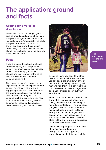# <span id="page-18-0"></span>**The application: ground and facts**

# **Ground for divorce or dissolution**

You have to prove one thing to get a divorce or end a civil partnership. This is that your marriage or civil partnership has broken down 'irretrievably'- so badly that you think it can't be saved. You do this by explaining why it has broken down using one of the reasons the law allows you to choose from. The law calls these reasons 'facts'.

# **Facts**

If you are married you have to choose one reason (fact) from five possible ones. If you are in a same sex marriage or a civil partnership you have to choose one from four out of the same five. Not all facts need the other person's agreement.

Only one member of a couple has to explain why the relationship has broken down. This makes it hard to avoid suggesting that it is all to do with what the other person has or has not done when in truth it is rarely just one person's fault. But this is how you have to do it. And it's why it is a good idea to agree the reason and supporting information with your husband or wife



or civil partner if you can. If the other person has some influence over what you say about the breakdown of your relationship it can help maintain good relations with them. This can really help if you also need to make arrangements about your children or sort out your joint finances.

Section 6 of the application asks you to show which fact you are choosing by ticking the relevant box. You then give more detail in Section 7. The information you give in Section 7 must match the fact you choose in Section 6. So for example, if you tick fact 4 (two years separation) but then accuse your ex of adultery (fact 1) in Section 7, the court office will have to return your application to you – which causes delay.

On the following page we set out each of the five facts and give you an example of what the supporting information might look like for each fact.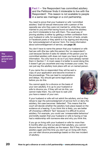**Fact 1** – 'the Respondent has committed adultery and the Petitioner finds it intolerable to live with the Respondent'. This reason is not available to people in a same sex marriage or a civil partnership.

You need to prove that your husband or wife 'committed adultery' (had full sexual intercourse with a person of the opposite sex who they were not married to, while they were married to you) and that having found out about the adultery you find it intolerable to live with them. The usual way of proving adultery is either by getting a written confession from your husband or wife, for example in the form of texts, emails or Facebook posts or they admit to it by signing and returning the 'acknowledgment of service' form. For more information about acknowledgement of service, see **[page 30](#page-29-0)**.

You don't have to name the person that your husband or wife had sex with (the law calls this person the 'co-respondent'). Just because Section 8 asks for details of the person your ex committed adultery with does not mean you have to give this information. You only have to do so if you have already named them in Section 7. In most cases it is better to avoid doing this; it doesn't get you anywhere and may increase your costs. You can just say the adultery took place with an un-named person.

If you name the co-respondent they will be sent a copy of your application and become involved in the proceedings. This can lead to complications and delays. You should get some legal advice before you do this.

You cannot apply for a divorce on the basis of your own adultery. It is up to your husband or wife to divorce you. If they will not do this, you cannot make them. You will have to wait until you have a reason of your ow[n.](#page-22-0)



If your husband or wife will not admit the adultery, and so they refuse to sign the acknowledgment of service form or deny the adultery, the case becomes 'defended'. This means that the court will decide whether the adultery took place based on the evidence at a hearing. If you think this is likely, you are better off choosing a different 'fact' because it is difficult to prove adultery. For example, you could use 'unreasonable behaviour' and briefly explain that your husband or wife is having or has had a relationship with someone else and why you think this.

If you go on living with your husband or wife for more than 6 months after you find out about their adultery, you cannot divorce them using adultery as the reason. But if they commit adultery again and this time you don't go on living with them, you can start divorce proceedings based on this new incident of adultery.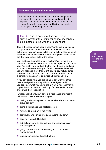#### **Example of supporting information**

The respondent told me on the [insert date here] that he had committed adultery. I was devastated and decided on the [insert date here] to move out of the matrimonial home. I cannot forgive the respondent and believe his adultery has brought our marriage to an end.

**Fact 2** – 'the Respondent has behaved in such a way that the Petitioner cannot reasonably be expected to live with the Respondent'.

This is the reason most people use. Your husband or wife or civil partner does not have to admit to the unreasonable behaviour. They can make it clear on the acknowledgement of service form that they do not accept what you say about them but that they will not defend the case.

You must give examples of your husband's or wife's or civil partner's unreasonable behaviour and the impact it has had on you. You might want to describe the first, the worst and end with the most recent example of their unreasonable behaviour. You will not need more than 5 or 6 examples. Include dates if relevant, approximate ones if you cannot be exact. So, for example, you can say: 'Just before Christmas 2016…'

If you can agree what you are going to say with the other person and you know they will not defend your petition, you can keep what you say to the minimum necessary in the hope this will reduce the possibility of causing offence and encourage their cooperation.

'Unreasonable behaviour' covers a wide range of different behaviours. Here are some examples:

- having a relationship with someone else where you cannot prove adultery
- being a workaholic and neglecting you
- $\bullet$  refusing to take part in family life
- continually undermining you and putting you down
- causing financial difficulties
- subjecting you to an atmosphere of constant criticism and disapproval
- going out with friends and leaving you on your own night after night
- $\bullet$  intimidation, insults, threats, bullying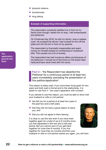- physical violence
- drunkenness
- **drug taking.**

#### **Example of supporting information**

The respondent constantly belittled me in front of my family even though I asked him to stop. I felt embarrassed and ashamed.

On Christmas Day 2016, he told my family I was a useless cook. He scraped the dinner I had cooked for him off the plate and into the bin in front of my parents.

The respondent is financially irresponsible and spent money on himself instead of contributing to household bills. This caused me a lot of anxiety.

The respondent has had numerous affairs and because of his behaviour I moved out of the home on the [insert date here] and have never lived with him since.

**Fact 3** – 'the Respondent has deserted the Petitioner for a continuous period of at least two years immediately preceding the presentation of this petition/application'.

This reason is rarely used. If you have been living apart for two years and both want a formal end to the relationship, it is easier to use Fact 4 – two year's separation with consent.

If you decide to use this reason, you must be able to show that your husband or wife or civil partner:

- $\bullet$  has left you for a period of at least two years in the past two and a half years,
- $\bullet$  that they did not have a good reason to leave you, and
- $\bullet$  that you did not agree to them leaving.

It is okay to use this fact even if you have lived together again for a total of up to 6 months since you first separated in this two and a half year period. But you cannot use it if you get back together for more than 6 months. If you live together for more than six months and then your



husband or wife or civil partner leaves you again, you will have

**jurisdiction The**  ground and<br>**facts an factsapplication:** 

**application:**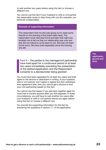<span id="page-22-0"></span>to wait another two years before using this fact or choose a different one.

You cannot use this fact if your husband or wife or civil partner has reasonable cause to stop living with you (for example, you behaved unreasonably).

#### **Example of supporting information**

The respondent told me she was going out to meet some friends on the evening of the [insert date here]. The respondent never returned home and later that night she emailed me to tell me that our relationship was over and she did not intend to come back to me. She has not been home since. We have lived separately since the evening she left.

**Fact 4** – 'the parties to the marriage/civil partnership have lived apart for a continuous period of at least two years immediately preceding the presentation of the petition/application and the Respondent consents to a decree/order being granted'.

You must have been separated for at least two years and both agree to the divorce or dissolution in writing. If your husband, wife or civil partner won't agree or agrees but then withdraws their agreement later, then you cannot get a divorce or end your civil partnership based on this fact.

You cannot use this reason if you get back together again for more than 6 months anytime after you first separate. In these circumstances, you will have to wait another two years after your husband or wife or civil partner leaves you again before using this fact or choose a different one.

You provide the supporting information for this fact by answering the questions in section 7.1 of the application.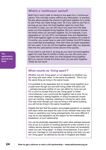# **What's a 'continuous' period?**

Both Fact 4 and 5 refer to having to live apart for a 'continuous' period. This normally means without any interruption. In practice the law allows people the chance to get back together for a while to see if they can make things work. So if you want to use Fact 4, as long as you have not lived together again for more than 6 months in total, you can still count two years from the date when you first stopped living together. But you cannot include the times when you are back together. So, for example, if you separated on 1st July 2014, but between then and September 2016 lived together again on two separate occasions for a total of 3 months, you would have to wait until October 2nd 2016 before you could start proceedings. Only then have you been separated for two years. If you do not live together again after you separate then the two year period comes around more quickly.

If you want to use Fact 5, as long as you have not lived together again for more than 6 months in total, you can still count your 5 years from the date when you first stopped living together. But you cannot include the times when you are back together. These do not count.

### **What counts as 'living apart'?**

Whether you are 'living apart' or not depends on whether you are living with each other 'in the same household'. This is not the same thing as living in the same house.

It is possible to be separated and no longer living together as a couple even though you are both living under the same roof – perhaps because neither of you can afford to move out yet. For a court to accept that you are 'living apart' in these circumstances, your communal life together has to end. So no more sleeping or eating together or doing household chores such as cooking, cleaning, washing or ironing for each other. This way even though you may be living in the same building, you will not be living in the same household.

Despite the fact that the system encourages people to co-operate with each other and share the care of any children they have, the more co-operative your living arrangements, the more difficult it may be to use separation as the reason for the irretrievable breakdown of your relationship.

You can be physically separated from each other perhaps because one of you is in prison or working abroad for a few months or on military service abroad, for example, but this does not necessarily mean you are 'living apart'. In these circumstances, if you don't see your marriage or civil partnership as being over then you are not 'living apart' as defined by the law in England and Wales.

**jurisdiction The**  ground and<br>**facts an factsapplication:** 

**application:**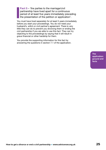**Fact 5** – 'the parties to the marriage/civil partnership have lived apart for a continuous period of at least five years immediately preceding the presentation of the petition or application'.

You must have lived separately for at least 5 years immediately before you start your proceedings. You do not need your husband's, wife's or civil partner's agreement. There is very little they can do to prevent you divorcing them or ending the civil partnership if you are able to use this fact. They can try objecting to the proceedings by saying that it will result in grave financial or other hardship for them.

You provide the supporting information for this fact by answering the questions in section 7.1 of the application.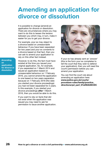# <span id="page-25-0"></span>**Amending an application for divorce or dissolution**

It is possible to change (amend) an application for divorce or dissolution. There are circumstances where you may want to do this to lessen the tension between you which may, in turn, make it easier for you to get your divorce.

For example, your ex may object to a divorce based on unreasonable behaviour. If you have been separated for two years and your ex consents to a divorce based on that fact, then you can ask to amend your application to rely on this other fact instead.

**Amending an application for divorce or dissolution**

However, to do this, the fact must have existed at the time you issued your original application. So, for example, if you separated on 1 March 2014 and issued an application based on unreasonable behaviour on 1 February 2016, you cannot amend the application to one based on two years separation because on 1 February 2016 (the date you started your divorce proceedings) you had not been separated for 2 years. In this example, if you started your divorce proceedings **after** 1 March 2016, then you would be able to do this.

If you want to rely on facts that did not exist when the application was issued you may need to ask for permission to issue another application.



If your ex has already sent an 'answer' (this is the form your ex completes to tell the court that they wish to defend your application), then you will need the court's permission before you can amend your application.

You can find the court rule about amending an application here: **[www.justice.gov.uk/courts/](http://www.justice.gov.uk/courts/procedure-rules/family/practice_directions/pd_part_07a#IDAXECDC) [procedure-rules/family/practice\\_](http://www.justice.gov.uk/courts/procedure-rules/family/practice_directions/pd_part_07a#IDAXECDC) [directions/pd\\_part\\_07a#IDAXECDC](http://www.justice.gov.uk/courts/procedure-rules/family/practice_directions/pd_part_07a#IDAXECDC)**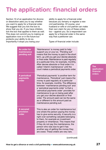# <span id="page-26-0"></span>**The application: financial orders**

Section 10 of an application for divorce or dissolution asks you to say whether you want to apply for a financial order. We suggest that you tick the box to show that you do. If you have children, tick the box that applies to them as well. This does not commit you to making an application now or in the future but protects your ability to do so. Importantly it stops you losing your

ability to apply for a financial order because you remarry or register a new civil partnership. Of course, your husband or wife or civil partner can make their own claim for any of these orders too – against you. So a respondent can apply for a financial order in the same way that a petitioner can.

Types of financial order include:

| An order for<br>maintenance<br>pending suit | 'Maintenance' is money paid to help<br>support you or your ex. 'Pending suit'<br>means that the money is paid in the short<br>term, up until you get your decree absolute<br>or final order. Maintenance is paid regularly<br>at a particular time, for example, monthly.<br>After decree absolute or final order it is<br>called 'interim maintenance' until the<br>court makes a periodical payments order.                                                                                                     |
|---------------------------------------------|-------------------------------------------------------------------------------------------------------------------------------------------------------------------------------------------------------------------------------------------------------------------------------------------------------------------------------------------------------------------------------------------------------------------------------------------------------------------------------------------------------------------|
| <b>A periodical</b><br>payments<br>order    | 'Periodical payments' is another term for<br>maintenance. 'Periodical' just means the<br>money is paid regularly at a particular<br>time, for example, monthly. The difference<br>between 'maintenance pending suit' and<br>a 'periodical payments order' is that a<br>'periodical payments order' provides for<br>maintenance to go on being paid after<br>you get your decree absolute or final<br>order. The amount paid can be the same<br>as or different to the amount paid as<br>maintenance pending suit. |
| <b>A</b> secured<br>provision<br>order      | This is also an order for maintenance but<br>one where the person paying the money<br>has to give some security. A security is a<br>right over something valuable belonging<br>to them, for example an investment<br>property or inheritance. This means that<br>if they do not pay the maintenance, the<br>person who was due to get it has<br>another way of getting the money they<br>are owed. These orders are very rare.                                                                                    |

**The application: financial orders**

(continued)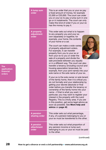| <b>A lump sum</b><br>order                     | This is an order that you or your ex pay<br>a fixed amount of money, for example<br>£2,000 or £20,000. The court can order<br>you or your ex to pay a lump sum in one<br>go or in instalments. The court can only<br>make this kind of order if you or your ex<br>has the money to pay it.                                                                                                                                                                                                                                                                                                                                                                                                                                                                                                                                                                                                                                                                                                                                                                                                                                                                                                                                |  |
|------------------------------------------------|---------------------------------------------------------------------------------------------------------------------------------------------------------------------------------------------------------------------------------------------------------------------------------------------------------------------------------------------------------------------------------------------------------------------------------------------------------------------------------------------------------------------------------------------------------------------------------------------------------------------------------------------------------------------------------------------------------------------------------------------------------------------------------------------------------------------------------------------------------------------------------------------------------------------------------------------------------------------------------------------------------------------------------------------------------------------------------------------------------------------------------------------------------------------------------------------------------------------------|--|
| A property<br>adjustment<br>order              | This order sets out what is to happen<br>to any property you and your ex<br>own separately or together, for<br>example, your home, the contents<br>of your home or a car.<br>The court can make a wide variety<br>of property adjustment orders.<br>For example, it can transfer<br>property from you to your ex or<br>from your ex to you or order the<br>sale of a property and divide the<br>sale proceeds between you equally<br>or in a different way. The court can also<br>transfer a tenancy (including council and<br>housing association tenancies), for<br>example, from your joint names into your<br>sole name or the sole name of your ex.<br>If your ex is the sole owner or sole tenant<br>of the family home, then it is critical you<br>do not formally end your relationship by<br>getting your decree absolute or final<br>order before you transfer the tenancy or<br>ownership of the family home into your<br>name – if that is what you want. In<br>particular, you may want to register your<br>interest in the property with the Land<br>Registry. This is a tricky area. If you are<br>in this position, get some legal advice as<br>soon as possible. See More help and<br>advice on page 42. |  |
| <b>A</b> pension<br>sharing order              | This order sets out what percentage,<br>if any, of a pension belonging to you or<br>your ex must be transferred to the other.                                                                                                                                                                                                                                                                                                                                                                                                                                                                                                                                                                                                                                                                                                                                                                                                                                                                                                                                                                                                                                                                                             |  |
| <b>A</b> pension<br><b>attachment</b><br>order | This order sets out what proportion of<br>any pension income or lump sum<br>belonging to you or your ex must be paid<br>to the other.                                                                                                                                                                                                                                                                                                                                                                                                                                                                                                                                                                                                                                                                                                                                                                                                                                                                                                                                                                                                                                                                                     |  |

(continued)

**application The application: financial orders Dealing with the** 

**respondent**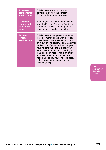| <b>A</b> pension                       | This is an order stating that any                                                                                                                                                                                                                                                                                                                                                                                                                                                               |
|----------------------------------------|-------------------------------------------------------------------------------------------------------------------------------------------------------------------------------------------------------------------------------------------------------------------------------------------------------------------------------------------------------------------------------------------------------------------------------------------------------------------------------------------------|
| compensation                           | compensation from the Pension                                                                                                                                                                                                                                                                                                                                                                                                                                                                   |
| sharing order                          | Protection Fund must be shared.                                                                                                                                                                                                                                                                                                                                                                                                                                                                 |
| <b>A</b> pension                       | If you or your ex are due compensation                                                                                                                                                                                                                                                                                                                                                                                                                                                          |
| compensation                           | from the Pension Protection Fund, this                                                                                                                                                                                                                                                                                                                                                                                                                                                          |
| <b>attachment</b>                      | order sets out what percentage of it                                                                                                                                                                                                                                                                                                                                                                                                                                                            |
| order                                  | must be paid directly to the other.                                                                                                                                                                                                                                                                                                                                                                                                                                                             |
| Payment<br>for legal<br>services order | This is an order that you or your ex pay<br>the other money to help with their legal<br>costs. Legal costs are what you spend<br>on a lawyer. The court will only make this<br>kind of order if you can show that you<br>have no other way of paying for your<br>legal costs, for example, by getting a<br>loan. The court will not make an order<br>if it means that you or your ex would<br>not be able to pay your own legal fees,<br>or if it would cause you or your ex<br>undue hardship. |

**The application: financial orders**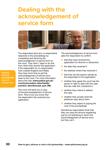# <span id="page-29-0"></span>**Dealing with the acknowledgement of service form**



The respondent (and any co-respondent) responds to the proceedings by completing and returning the acknowledgement of service form to the court. They have 7 days to do this from when they receive the application. If the respondent (or co-respondent) lives outside England and Wales they have more time to get the acknowledgement of service form back to the court. For more information about this see: **[www.justice.gov.uk/](http://www.justice.gov.uk/courts/procedure-rules/family/practice_directions/pd_part_06b) [courts/procedure-rules/family/](http://www.justice.gov.uk/courts/procedure-rules/family/practice_directions/pd_part_06b) [practice\\_directions/pd\\_part\\_06b](http://www.justice.gov.uk/courts/procedure-rules/family/practice_directions/pd_part_06b)**

The court will send you a copy of the acknowledgement of service form. This is how you know that the respondent has received your application.

The acknowledgement of service form asks the respondent to confirm:

- $\bullet$  that they have received the application for divorce or dissolution
- the date they received it
- the address where they received it
- $\bullet$  that they are the person named as the respondent in the application
- $\bullet$  whether they agree the court has the power or right to deal with the case (the law calls this 'jurisdiction')
- $\bullet$  whether they intend to defend the case
- $\bullet$  whether they accept what the petitioner says about them
- $\bullet$  whether they object to paying the cost of the proceedings

Sometimes respondents think that they can stop the divorce happening just by not bothering to return the acknowledgement of service form; but they can't.

**30 How to get a divorce or end a civil partnership • www.advicenow.org.uk**

**Dealing with the acknowledgement of service form**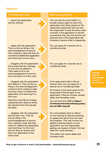# **Options**

… ignore the application and do nothing.

#### **The Respondent can: What you can do next:**

You can ask the court bailiff or a private enquiry agent to serve the application and other papers on the respondent personally and can ask the respondent to pay the extra costs involved. If the application is served successfully this way, the divorce can proceed even if the respondent still chooses to ignore what is happening.

You can apply for a decree nisi or conditional order.

… agree with the application. They do this by filling in the acknowledgement of service form making it clear that they do not intend to defend the application and returning it to the court.

… disagree with the application, but accept that the marriage is over and not defend it. They need to fill in the acknowledgement of service form and return it to the court.

… disagree with the application and defend it. They do this by filling in the acknowledgement of service form making it clear that they intend to defend the application and returning it to the court.

Next they must file an Answer explaining their defence within the relevant time limit (usually 29 days).

… disagree with the application and file their own. They do this by filling in the acknowledgement of service form making it clear that they intend to defend the application and returning it to the court, and by filing an Answer and their own application in the same case.

You can apply for a decree nisi or conditional order.

If the respondent fails to file an Answer, then you can apply for a decree nisi or conditional order.

An Answer is the name given to the respondent's formal reply to the application. Filing an Answer causes delay and increases costs.

You can find form D8B at **[https://](https://formfinder.hmctsformfinder.justice.gov.uk/d8b-eng.pdf) [formfinder.hmctsformfinder.justice.](https://formfinder.hmctsformfinder.justice.gov.uk/d8b-eng.pdf) [gov.uk/d8b-eng.pdf](https://formfinder.hmctsformfinder.justice.gov.uk/d8b-eng.pdf)**

You will probably have to attend a court hearing to discuss reaching an agreement about how the case will progress. This may involve you getting a decree based on your application and the respondent getting one based on theirs. The law calls this 'cross decrees'.

This option can cause delay and increase costs.

**Dealing with the acknowledgement of service form**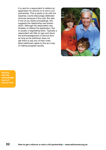It is rare for a respondent to defend an application for divorce or to end a civil partnership. This is partly to do with the expense; courts discourage defended divorces because of the cost. But also if one of you starts proceedings, this suggests the relationship has broken down. Although the respondent may threaten to defend the application, this is usually a negotiating tactic. Typically a respondent will offer to sign and return the acknowledgement of service form as long as the petitioner does not ask them to pay any of their costs. Most petitioners agree to this as a way of making progress quickly.



**financial orders Dealing with the acknowledge-acknowledgement of The service form respondent has not** 

**returned the for a decree**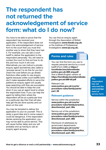# <span id="page-32-0"></span>**The respondent has not returned the acknowledgement of service form: what do I do now?**

You have to be able to prove that the respondent has received your application. If the respondent does not return the acknowledgement of service form to the court then you must find another way to show that they have had it. For example, you can ask a court bailiff to deliver the application to the respondent personally. You will need to contact the court to find out how to do this and how much it will cost. Alternatively you can instruct a private enquiry agent (sometimes also called a 'process server') to do this for you but check the cost before you go ahead. Solicitors often prefer to use enquiry agents because unlike court bailiffs (who don't make repeated efforts to serve the petition) an enquiry agent will usually keep searching until they are successful. You should be able to keep the cost down if you use an agent local to where the respondent lives. If you can help the agent by telling them where the respondent will be at a particular time on a particular day then that will also help get the job done quickly and cut down on the cost.

You may be tempted to deliver the application to your ex yourself. This is rarely a good idea and in some cases it could be dangerous. If the respondent denies receiving the application, you may not be able to prove service. This will cause further delay and you will probably end up having to use an enquiry agent anyway.

You can find an enquiry agent through the Association of British Investigators (**[www.theabi.org.uk](http://www.theabi.org.uk)**) or the Institute of Professional Investigators (**[www.ipi.org.uk](http://www.ipi.org.uk)**).

# **Forms and rules**



You can find the form you use to request personal service by a court bailiff (Form D89) at **[https://](https://formfinder.hmctsformfinder.justice.gov.uk/d89-eng.pdf) [formfinder.hmctsformfinder.](https://formfinder.hmctsformfinder.justice.gov.uk/d89-eng.pdf) [justice.gov.uk/d89-eng.pdf](https://formfinder.hmctsformfinder.justice.gov.uk/d89-eng.pdf)** And a Welsh/English version at **[https://formfinder.hmctsformfinder.](https://formfinder.hmctsformfinder.justice.gov.uk/d89-bil.pdf) [justice.gov.uk/d89-bil.pdf](https://formfinder.hmctsformfinder.justice.gov.uk/d89-bil.pdf)**

#### Relevant rule:

**[www.justice.gov.uk/courts/](http://www.justice.gov.uk/courts/procedure-rules/family/parts/part_06) [procedure-rules/family/parts/](http://www.justice.gov.uk/courts/procedure-rules/family/parts/part_06) [part\\_06](http://www.justice.gov.uk/courts/procedure-rules/family/parts/part_06)**

### **Relevant guidance**

Service within the jurisdiction: **[www.justice.gov.uk/courts/](http://www.justice.gov.uk/courts/procedure-rules/family/practice_directions/pd_part_06a) [procedure-rules/family/practice\\_](http://www.justice.gov.uk/courts/procedure-rules/family/practice_directions/pd_part_06a) [directions/pd\\_part\\_06a](http://www.justice.gov.uk/courts/procedure-rules/family/practice_directions/pd_part_06a)**

Service out of the jurisdiction: **[www.justice.gov.uk/courts/](http://www.justice.gov.uk/courts/procedure-rules/family/practice_directions/pd_part_06b) [procedure-rules/family/practice\\_](http://www.justice.gov.uk/courts/procedure-rules/family/practice_directions/pd_part_06b) [directions/pd\\_part\\_06b](http://www.justice.gov.uk/courts/procedure-rules/family/practice_directions/pd_part_06b)**

Disclosure of addresses by government departments: **[www.justice.gov.uk/courts/](http://www.justice.gov.uk/courts/procedure-rules/family/practice_directions/pd_part_06c) [procedure-rules/family/practice\\_](http://www.justice.gov.uk/courts/procedure-rules/family/practice_directions/pd_part_06c) [directions/pd\\_part\\_06c](http://www.justice.gov.uk/courts/procedure-rules/family/practice_directions/pd_part_06c)**

#### **The respondent has not returned the acknowledgement of service form**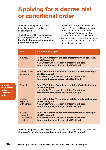# <span id="page-33-0"></span>**Applying for a decree nisi or conditional order**

You need to complete two forms to apply for a decree nisi or conditional order.

**Applying for a decree** 

**conditional** 

**nisi or** 

**order**

The first form (D84) is an application form and you can find it at **[https://](https://formfinder.hmctsformfinder.justice.gov.uk/d84-eng.pdf) [formfinder.hmctsformfinder.justice.](https://formfinder.hmctsformfinder.justice.gov.uk/d84-eng.pdf) [gov.uk/d84-eng.pdf](https://formfinder.hmctsformfinder.justice.gov.uk/d84-eng.pdf)**

The second form is a statement in support. There is a different version of this statement for each of the reasons (facts). You need to choose the form that matches the reason you are using in your application for a divorce or dissolution. You can find the different versions here:

|  | <b>Fact</b>                                       | <b>Statement in support</b>                                                                                                                                                        |
|--|---------------------------------------------------|------------------------------------------------------------------------------------------------------------------------------------------------------------------------------------|
|  | Adultery                                          | Form D80A: https://formfinder.hmctsformfinder.justice.gov.<br>uk/d80a-eng.pdf<br>And a Welsh/English version at https://formfinder.<br>hmctsformfinder.justice.gov.uk/d80a-bil.pdf |
|  | Unreasonable<br>behaviour                         | Form D80B: https://formfinder.hmctsformfinder.justice.gov.<br>uk/d80b-eng.pdf<br>And a Welsh/English version at https://formfinder.<br>hmctsformfinder.justice.gov.uk/d80b-bil.pdf |
|  | <b>Desertion</b>                                  | Form D80C: https://formfinder.hmctsformfinder.justice.gov.<br>uk/d80c-eng.pdf<br>And a Welsh/English version at https://formfinder.<br>hmctsformfinder.justice.gov.uk/d80c-bil.pdf |
|  | 2 years<br>separation<br>with consent             | Form D80D: https://formfinder.hmctsformfinder.justice.gov.<br>uk/d80d-eng.pdf<br>And a Welsh/English version at https://formfinder.<br>hmctsformfinder.justice.gov.uk/d80d-bil.pdf |
|  | 5 years<br>separation<br>- no consent<br>required | Form D80E: https://formfinder.hmctsformfinder.justice.gov.<br>uk/d80e-eng.pdf<br>And a Welsh/English version at https://formfinder.<br>hmctsformfinder.justice.gov.uk/d80e-bil.pdf |

You can find guidance explaining what to do when you have completed these forms at **<https://formfinder.hmctsformfinder.justice.gov.uk/d186-eng.pdf>**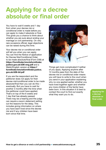# <span id="page-34-0"></span>**Applying for a decree absolute or final order**

You have to wait 6 weeks and 1 day from when your decree nisi or conditional order is made before you can apply to make it absolute or final. This gives you a chance to think about whether you are sure about ending your marriage or civil partnership. On very rare occasions official, legal objections can be raised during this time.

Your decree nisi or conditional order will tell you when you can apply. You can find the Notice of application for Decree Nisi/Conditional Order to be made absolute/final (Form D36) at **[https://formfinder.hmctsformfinder.](https://formfinder.hmctsformfinder.justice.gov.uk/d36-eng.pdf) [justice.gov.uk/d36-eng.pdf](https://formfinder.hmctsformfinder.justice.gov.uk/d36-eng.pdf)** and a Welsh/English version at **[https://](https://formfinder.hmctsformfinder.justice.gov.uk/d36-bil.pdf) [formfinder.hmctsformfinder.justice.](https://formfinder.hmctsformfinder.justice.gov.uk/d36-bil.pdf) [gov.uk/d36-bil.pdf](https://formfinder.hmctsformfinder.justice.gov.uk/d36-bil.pdf)**

If you are the respondent and the petitioner does not apply for their decree nisi/conditional order to be made absolute/final then you can do this – eventually. But you have to wait for another 3 months after the time when the petitioner could have applied. That's on top of the 6 weeks and 1 day that has already passed. There may be a hearing and the judge can require a sworn statement setting out the reasons for the delay. This includes giving information on where you have each lived since the decree nisi and if any children have been born since that time.



Things get more complicated if neither of you apply. Applying anytime after 12 months pass from the date of the decree nisi or conditional order means you will have to write to the court when you send in your application explaining why no one applied earlier, whether you have lived together again and whether any more children of the family have been born. In this situation it is best to contact the court to find out exactly what they want you to do.

**Applying for a decree absolute or final order**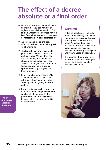# <span id="page-35-0"></span>**The effect of a decree absolute or a final order**

- Once you have your decree absolute or final order you can remarry or register a new civil partnership. But find out what this could mean for you first. See: **[What happens if I remarry](#page-36-0) [or register a new civil partnership?](#page-36-0)**
- A decree absolute or final order affects (but does not cancel) any Will you have made.
- The law will treat any reference to your former husband or wife or civil partner in your Will as if they had died on the day that the decree absolute or final order was made. They will no longer benefit from your Will unless you make a new Will specifically saying that you want them to benefit.
- $\bullet$  Even if you have not made a Will, a decree absolute or final order will affect who inherits from you. You may want to get legal advice on this.
- **•** If your ex dies you will no longer be married to them and you could find you have lost your right to their pension benefits unless you sort this out before your decree nisi is made absolute.

# **Warning!**

A decree absolute or final order does not necessarily stop either you or your ex making a financial claim against the other in the future. You should get legal advice about how to prevent this happening or you may face financial proceedings many years after your divorce or dissolution.

If you remarry before you have applied for a financial order you will not be allowed to make a financial claim at all.



**The effect of a decree absolute or final order**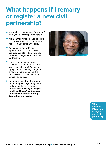# <span id="page-36-0"></span>**What happens if I remarry or register a new civil partnership?**

- Any maintenance you get for yourself from your ex will stop immediately.
- Maintenance for children is different: this does not stop if you remarry or register a new civil partnership.
- You can continue with your application for a financial order provided you started it before you remarried or registered a new civil partnership.
- $\bullet$  If you have not already applied for financial help for yourself from your ex, it is too late! You cannot apply after you remarry or register a new civil partnership. So it is best to sort your finances out first before you do this.
- $\bullet$  For information about the impact of remarriage or registering a new civil partnership on your state pension see: **[www.ageuk.org.uk/](http://www.ageuk.org.uk/health-wellbeing/relationships-and-family/financial-and-legal-tips-before-remarrying/) [health-wellbeing/relationships](http://www.ageuk.org.uk/health-wellbeing/relationships-and-family/financial-and-legal-tips-before-remarrying/)[and-family/financial-and-legal](http://www.ageuk.org.uk/health-wellbeing/relationships-and-family/financial-and-legal-tips-before-remarrying/)[tips-before-remarrying](http://www.ageuk.org.uk/health-wellbeing/relationships-and-family/financial-and-legal-tips-before-remarrying/)**



**What happens if I remarry or register a new civil partnership?**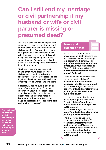# <span id="page-37-0"></span>**Can I still end my marriage or civil partnership if my husband or wife or civil partner is missing or presumed dead?**

Yes, this is possible. You can apply for a decree or order of presumption of death and the dissolution of your marriage or civil partnership. If you want to remarry or register a new civil partnership, this will allow you to do so without risking it being void or being charged with the crime of bigamy (marrying or registering a new civil partnership while still married to another person).

You have to explain your reasons for thinking that your husband or wife or civil partner is dead, including the circumstances in which you stopped living together, when they were last heard of and what steps you have taken to find them.

Successfully getting such a decree or order affects inheritance. For more information about the consequences of applying for this kind of decree/order, please read the guidance notes (see **Forms and guidance notes** on this page) or get legal advice, see **[More help](#page-41-0)  [and advice](#page-41-0)** on **page 42**.

# **Forms and guidance notes**



You can find a Petition for a presumption of death decree/order and the dissolution of a marriage/ civil partnership (Form D8D) at **[https://formfinder.hmctsformfinder.](https://formfinder.hmctsformfinder.justice.gov.uk/d8d-eng.pdf) [justice.gov.uk/d8d-eng.pdf](https://formfinder.hmctsformfinder.justice.gov.uk/d8d-eng.pdf)** and a Welsh/English version at **[https://](https://formfinder.hmctsformfinder.justice.gov.uk/d8d-bil.pdf) [formfinder.hmctsformfinder.justice.](https://formfinder.hmctsformfinder.justice.gov.uk/d8d-bil.pdf) [gov.uk/d8d-bil.pdf](https://formfinder.hmctsformfinder.justice.gov.uk/d8d-bil.pdf)**

There are guidance notes to help you complete it at **[https://](https://formfinder.hmctsformfinder.justice.gov.uk/d8d-notes-eng.pdf) [formfinder.hmctsformfinder.](https://formfinder.hmctsformfinder.justice.gov.uk/d8d-notes-eng.pdf) [justice.gov.uk/d8d-notes-eng.pdf](https://formfinder.hmctsformfinder.justice.gov.uk/d8d-notes-eng.pdf)** And a Welsh/English version at **[https://formfinder.hmctsformfinder.](https://formfinder.hmctsformfinder.justice.gov.uk/d8d-nodiadau-d8d-notes-bil.pdf) [justice.gov.uk/d8d-nodiadau](https://formfinder.hmctsformfinder.justice.gov.uk/d8d-nodiadau-d8d-notes-bil.pdf)[d8d-notes-bil.pdf](https://formfinder.hmctsformfinder.justice.gov.uk/d8d-nodiadau-d8d-notes-bil.pdf)**

You can find the application form for help paying court fees (Form EX160) at **[https://formfinder.](https://formfinder.hmctsformfinder.justice.gov.uk/ex160-eng.pdf) [hmctsformfinder.justice.gov.uk/](https://formfinder.hmctsformfinder.justice.gov.uk/ex160-eng.pdf) [ex160-eng.pdf](https://formfinder.hmctsformfinder.justice.gov.uk/ex160-eng.pdf)**  And a Welsh/English version at

**[https://formfinder.hmctsformfinder.](https://formfinder.hmctsformfinder.justice.gov.uk/ex160-bil.pdf) [justice.gov.uk/ex160-bil.pdf](https://formfinder.hmctsformfinder.justice.gov.uk/ex160-bil.pdf)**

There are notes to help you complete the form at **[https://](https://formfinder.hmctsformfinder.justice.gov.uk/ex160a-eng.pdf) [formfinder.hmctsformfinder.](https://formfinder.hmctsformfinder.justice.gov.uk/ex160a-eng.pdf) [justice.gov.uk/ex160a-eng.pdf](https://formfinder.hmctsformfinder.justice.gov.uk/ex160a-eng.pdf)** And a Welsh/English version of the notes at **[https://formfinder.](https://formfinder.hmctsformfinder.justice.gov.uk/ex160a-bil.pdf) [hmctsformfinder.justice.gov.uk/](https://formfinder.hmctsformfinder.justice.gov.uk/ex160a-bil.pdf) [ex160a-bil.pdf](https://formfinder.hmctsformfinder.justice.gov.uk/ex160a-bil.pdf)**

**What When**<br>when the conclusion **partnership if Can I still end my marriage or civil my husband or wife or civil partner is missing or presumed dead?**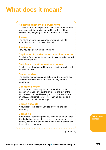# <span id="page-38-0"></span>**What does it mean?**

### <span id="page-38-1"></span>**Acknowledgement of service form**

This is the form the respondent uses to confirm that they have received the application and to tell the petitioner whether they are going to defend (object to) it or not.

### **Answer**

The name given to the respondent's formal reply to an application for divorce or dissolution.

### **Application**

How you ask a court to do something.

### <span id="page-38-2"></span>**Application for a decree nisi/conditional order**

This is the form the petitioner uses to ask for a decree nisi or conditional order.

### <span id="page-38-5"></span>**Certificate of entitlement to a decree**

This tells you the date and time when the judge will grant your decree nisi.

### **Co-respondent**

The person named in an application for divorce who the petitioner believes has committed adultery with the respondent.

### **Conditional order**

A court order confirming that you are entitled to the dissolution of your civil partnership. It is the first of the two decrees you need before your civil partnership is at an end. A conditional order is not the final decree and does not end a civil partnership.

### <span id="page-38-4"></span>**Decree absolute**

A court order that proves you are divorced and free to remarry.

### <span id="page-38-3"></span>**Decree nisi**

A court order confirming that you are entitled to a divorce. It is the first of the two decrees you need before you are actually divorced. A decree nisi is not the final decree and does not end a marriage.

**What does it mean?**

*(continued)*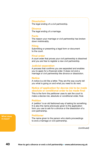### **Dissolution**

The legal ending of a civil partnership.

#### **Divorce**

The legal ending of a marriage.

#### **Facts**

The reason your marriage or civil partnership has broken down irretrievably.

#### **Filing**

Submitting or presenting a legal form or document to the court.

#### **Final order**

A court order that proves your civil partnership is dissolved and you are free to register a new civil partnership.

#### **Judicial separation**

A process that confirms you are separated and enables you to apply for a financial order. It does not end a marriage or civil partnership like divorce or dissolution.

#### **Notice**

A notice is a bit like a letter. They are the way courts tell you what is going on and what you need to do next.

### <span id="page-39-0"></span>**Notice of application for decree nisi to be made absolute or conditional order to be made final**

This is the form the petitioner uses to ask the court to make a decree nisi, absolute or conditional order, final.

#### **Petition**

A 'petition' is an old fashioned way of asking for something. It is also the name previously given to the application form you use to ask for a divorce or the dissolution of a civil partnership.

#### **Petitioner**

The name given to the person who starts proceedings to end a marriage or civil partnership.

*(continued)*

**What does it mean?**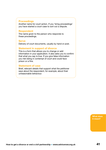### **Proceedings**

Another name for court action. If you 'bring proceedings' you have started a court case to sort out a dispute.

#### **Respondent**

The name given to the person who responds to these proceedings.

#### <span id="page-40-0"></span>**Serve**

Delivery of court documents, usually by hand or post.

#### <span id="page-40-1"></span>**Statement in support of divorce**

This is a form that allows you to change or add information in your application. It also asks you to confirm that what you say is true. If you give false information you risk being in contempt of court and could face prison or a fine.

### **Statement of case**

Brief, relevant details that support what the petitioner says about the respondent, for example, about their unreasonable behaviour.

> **What does it mean?**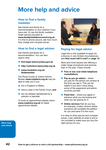# <span id="page-41-0"></span>**More help and advice**

# **How to find a family mediator**

Ask friends and family for a recommendation or your solicitor if you have one. Or use the family mediator finder service provided at **[www.familymediationcouncil.org.uk](http://www.familymediationcouncil.org.uk/)**. It is fine to phone around, ask how much they charge and compare prices.

# **How to find a legal advisor**

Ask friends and family for a recommendation. You can also search here:

- **•** [find-legal-advice.justice.gov.uk](http://find-legal-advice.justice.gov.uk/)
- • **[http://solicitors.lawsociety.org.uk](http://solicitors.lawsociety.org.uk/)**
- • **[www.resolution.org.uk/](http://www.resolution.org.uk/findamember/) [findamember](http://www.resolution.org.uk/findamember/)**

The Royal Courts of Justice Advice Bureau **[www.rcjadvice.org.uk](http://www.rcjadvice.org.uk)** may be able to help you if you:

- live in England or Wales,
- **•** have a case in the Family Court, and
- $\bullet$  are not already represented by a solicitor or barrister.

To book an appointment please check **[www.rcjadvice.org.uk](http://www.rcjadvice.org.uk)** for latest appointment details.



# **Paying for legal advice**

Legal aid is only available to apply for a divorce in very limited circumstances, see **[How much will it cost?](#page-12-0)** on **page 13**.

More and more lawyers are offering a wider range of products and services than in the past. These include:

- **Free or low cost initial telephone consultations**
- **Pay as you go advice** where you pay for the advice you receive at the time you get it. This can be helpful if you don't mind doing some of the paperwork and admin involved yourself.
- **Fixed fees** where you agree in advance what you are buying and what you are paying for it.
- **Online services** that let you buy, for example, a basic divorce where someone will complete the petition for you and send it to the court.

It is okay to shop around and compare prices. Look carefully at what is and is not included to make sure you buy the right service for you.

**More help and advice**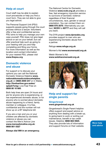# **Help at court**

Court staff may be able to explain court procedures or help you find a court form. They are not able to give you legal advice.

The Personal Support Unit (PSU) supports people going through the court process without a lawyer. Volunteers offer a free and confidential service. PSU aims to help you manage your own case yourself. PSU does not give legal advice or act on your behalf, but can offer practical help such as going to your hearing with you and help completing and filing your forms. For more information as well as the location and contact information for your nearest PSU, please visit **[www.thepsu.org](https://www.thepsu.org)**

# **Domestic violence and abuse**

For support or to discuss your options you can call the National Domestic Violence Helpline **[www.](http://www.nationaldomesticviolencehelpline.org.uk/) [nationaldomesticviolencehelpline.](http://www.nationaldomesticviolencehelpline.org.uk/) [org.uk](http://www.nationaldomesticviolencehelpline.org.uk/)** on **0808 2000 247** or in Wales, **[http://livefearfree.gov.wales/](http://livefearfree.gov.wales/splash?orig=) [splash?orig=](http://livefearfree.gov.wales/splash?orig=)** Live Fear Free on **0808 80 10 800**.

Both help lines are open 24 hours and are for anyone who is experiencing, or has experienced domestic abuse, or for anyone who is worried about domestic abuse happening to a friend, family member or colleague. It is free, confidential and the number will not show up on a BT telephone bill.

If you are a man and you or your children are affected by domestic violence or abuse you can contact the Men's Advice Line **[www.mensadviceline.org.uk](http://www.mensadviceline.org.uk)**: **0808 801 0327**

**Always dial 999 in an emergency.**

The National Centre for Domestic Violence **[www.ncdv.org.uk](http://www.ncdv.org.uk/)** provides a free, fast emergency injunction service to survivors of domestic violence regardless of their financial circumstances, race, gender or sexual orientation. You can contact them on: **0800 970 2070**. Alternatively you can text: **NCDV** to **60777** and they will call you back.

The DYN project **[www.dynwales.org](http://www.dynwales.org/)** provides support to men who are experiencing Domestic abuse from a partner.

Refuge **[www.refuge.org.uk](http://www.refuge.org.uk/)**

Women's Aid **[www.womensaid.org.uk](http://www.womensaid.org.uk/)**

Welsh Women's Aid **[www.welshwomensaid.org.uk](http://www.welshwomensaid.org.uk/)**



# **Help and support for single parents**

#### **Gingerbread [www.gingerbread.org.uk](http://www.gingerbread.org.uk/)**

Gingerbread's Single Parent helpline offers support and expert advice on anything from dealing with a break-up, to going back to work or sorting out maintenance, benefit or tax credit issues. Helpline: **0808 802 0925**. They also provide lots of information and support forums on their website.

**More help and advice**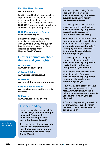#### **Families Need Fathers [www.fnf.org.uk](http://www.fnf.org.uk/)**

Families Need Father's helpline offers support and a listening ear to dads, mums, grandparents and other members of the family. Helpline: **0300 0300 363**. They also provide factsheets and online support through forums.

### **Both Parents Matter Cymru [www.fnf-bpm.org.uk](http://www.fnf-bpm.org.uk/)**

Both Parents Matter Cymru runs monthly support meetings and with Law Works Cymru and support from local solicitors provides free legal clinics across Wales. Helpline: **08456 004446**

# **Further information about the law and your rights**

**Advicenow [www.advicenow.org.uk](http://www.advicenow.org.uk)**

**Citizens Advice [www.citizensadvice.org.uk](https://www.citizensadvice.org.uk/)**

**Resolution [www.resolution.org.uk/information](http://www.resolution.org.uk/information/)**

#### **Sorting out separation**

**[www.sortingoutseparation.org.uk/](http://www.sortingoutseparation.org.uk/en/home) [en/home](http://www.sortingoutseparation.org.uk/en/home)**

#### **Wikivorce [www.wikivorce.com/divorce](http://www.wikivorce.com/divorce/)**

# **Further reading**

Using a divorce lawyer: ten helpful tips: **[www.legalombudsman.org.uk/](http://www.legalombudsman.org.uk/downloads/documents/publications/Using-a-divorce-lawyer-ten-helpful-tips.pdf) [downloads/documents/](http://www.legalombudsman.org.uk/downloads/documents/publications/Using-a-divorce-lawyer-ten-helpful-tips.pdf) [publications/Using-a-divorce](http://www.legalombudsman.org.uk/downloads/documents/publications/Using-a-divorce-lawyer-ten-helpful-tips.pdf)[lawyer-ten-helpful-tips.pdf](http://www.legalombudsman.org.uk/downloads/documents/publications/Using-a-divorce-lawyer-ten-helpful-tips.pdf)**

**More help and advice**

Ten question to ask your lawyer about costs: **[www.legalombudsman.](http://www.legalombudsman.org.uk/downloads/documents/publications/Consumer-Guide-Costs-BW.pdf) [org.uk/downloads/documents/](http://www.legalombudsman.org.uk/downloads/documents/publications/Consumer-Guide-Costs-BW.pdf) [publications/Consumer-Guide-](http://www.legalombudsman.org.uk/downloads/documents/publications/Consumer-Guide-Costs-BW.pdf)[Costs-BW.pdf](http://www.legalombudsman.org.uk/downloads/documents/publications/Consumer-Guide-Costs-BW.pdf)**

A survival guide to using Family Mediation after a break up: **[www.advicenow.org.uk/guides/](http://www.advicenow.org.uk/guides/survival-guide-using-family-mediation-after-break) [survival-guide-using-family](http://www.advicenow.org.uk/guides/survival-guide-using-family-mediation-after-break)[mediation-after-break](http://www.advicenow.org.uk/guides/survival-guide-using-family-mediation-after-break)**

A survival guide to divorce or the dissolution of a civil partnership: **[www.advicenow.org.uk/guides/](http://www.advicenow.org.uk/guides/survival-guide-divorce-or-dissolution-civil-partnership) [survival-guide-divorce-or](http://www.advicenow.org.uk/guides/survival-guide-divorce-or-dissolution-civil-partnership)[dissolution-civil-partnership](http://www.advicenow.org.uk/guides/survival-guide-divorce-or-dissolution-civil-partnership)**

How to apply for a court order about the arrangements for your children without the help of a lawyer: **[www.advicenow.org.uk/guides/](http://www.advicenow.org.uk/guides/how-apply-court-order-about-arrangements-your-children-without-help-lawyer) [how-apply-court-order-about](http://www.advicenow.org.uk/guides/how-apply-court-order-about-arrangements-your-children-without-help-lawyer)[arrangements-your-children](http://www.advicenow.org.uk/guides/how-apply-court-order-about-arrangements-your-children-without-help-lawyer)[without-help-lawyer](http://www.advicenow.org.uk/guides/how-apply-court-order-about-arrangements-your-children-without-help-lawyer)**

A survival guide to sorting out arrangements for your children: **[www.advicenow.org.uk/guides/](http://www.advicenow.org.uk/guides/survival-guide-sorting-out-arrangements-your-children) [survival-guide-sorting-out](http://www.advicenow.org.uk/guides/survival-guide-sorting-out-arrangements-your-children)[arrangements-your-children](http://www.advicenow.org.uk/guides/survival-guide-sorting-out-arrangements-your-children)**

How to apply for a financial order without the help of a lawyer: **[www.advicenow.org.uk/guides/](http://www.advicenow.org.uk/guides/how-apply-financial-order-without-help-lawyer) [how-apply-financial-order](http://www.advicenow.org.uk/guides/how-apply-financial-order-without-help-lawyer)[without-help-lawyer](http://www.advicenow.org.uk/guides/how-apply-financial-order-without-help-lawyer)**

A survival guide to sorting out your finances when you get divorced: **[http://www.advicenow.org.uk/](http://www.advicenow.org.uk/guides/survival-guide-sorting-out-your-finances-when-you-get-divorced) [guides/survival-guide-sorting-out](http://www.advicenow.org.uk/guides/survival-guide-sorting-out-your-finances-when-you-get-divorced)[your-finances-when-you-get](http://www.advicenow.org.uk/guides/survival-guide-sorting-out-your-finances-when-you-get-divorced)[divorced](http://www.advicenow.org.uk/guides/survival-guide-sorting-out-your-finances-when-you-get-divorced)**

A Guide to Representing Yourself in Court: **[www.barcouncil.org.uk/](http://www.barcouncil.org.uk/media/203109/srl_guide_final_for_online_use.pdf) [media/203109/srl\\_guide\\_final\\_for\\_](http://www.barcouncil.org.uk/media/203109/srl_guide_final_for_online_use.pdf) [online\\_use.pdf](http://www.barcouncil.org.uk/media/203109/srl_guide_final_for_online_use.pdf)**